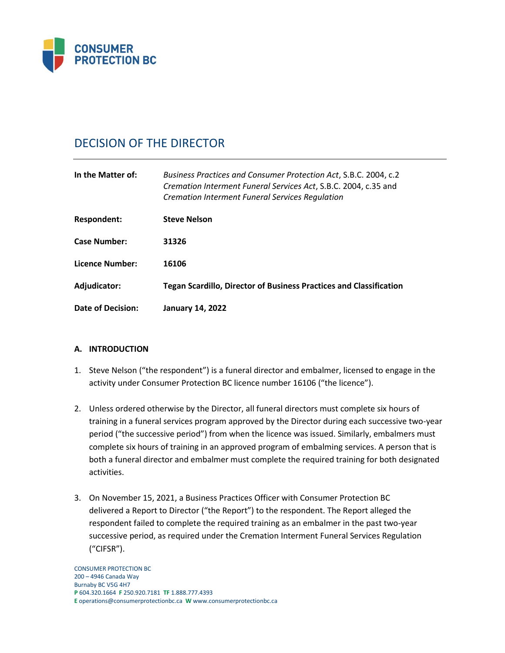

# DECISION OF THE DIRECTOR

| In the Matter of:   | Business Practices and Consumer Protection Act, S.B.C. 2004, c.2<br>Cremation Interment Funeral Services Act, S.B.C. 2004, c.35 and<br><b>Cremation Interment Funeral Services Regulation</b> |
|---------------------|-----------------------------------------------------------------------------------------------------------------------------------------------------------------------------------------------|
| <b>Respondent:</b>  | <b>Steve Nelson</b>                                                                                                                                                                           |
| <b>Case Number:</b> | 31326                                                                                                                                                                                         |
| Licence Number:     | 16106                                                                                                                                                                                         |
| Adjudicator:        | <b>Tegan Scardillo, Director of Business Practices and Classification</b>                                                                                                                     |
| Date of Decision:   | <b>January 14, 2022</b>                                                                                                                                                                       |

# **A. INTRODUCTION**

- 1. Steve Nelson ("the respondent") is a funeral director and embalmer, licensed to engage in the activity under Consumer Protection BC licence number 16106 ("the licence").
- 2. Unless ordered otherwise by the Director, all funeral directors must complete six hours of training in a funeral services program approved by the Director during each successive two-year period ("the successive period") from when the licence was issued. Similarly, embalmers must complete six hours of training in an approved program of embalming services. A person that is both a funeral director and embalmer must complete the required training for both designated activities.
- 3. On November 15, 2021, a Business Practices Officer with Consumer Protection BC delivered a Report to Director ("the Report") to the respondent. The Report alleged the respondent failed to complete the required training as an embalmer in the past two-year successive period, as required under the Cremation Interment Funeral Services Regulation ("CIFSR").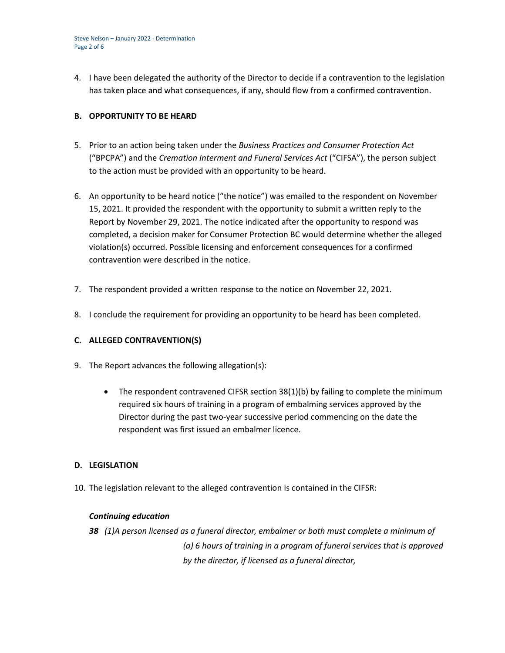Steve Nelson – January 2022 - Determination Page 2 of 6

4. I have been delegated the authority of the Director to decide if a contravention to the legislation has taken place and what consequences, if any, should flow from a confirmed contravention.

### **B. OPPORTUNITY TO BE HEARD**

- 5. Prior to an action being taken under the *Business Practices and Consumer Protection Act*  ("BPCPA") and the *Cremation Interment and Funeral Services Act* ("CIFSA"), the person subject to the action must be provided with an opportunity to be heard.
- 6. An opportunity to be heard notice ("the notice") was emailed to the respondent on November 15, 2021. It provided the respondent with the opportunity to submit a written reply to the Report by November 29, 2021. The notice indicated after the opportunity to respond was completed, a decision maker for Consumer Protection BC would determine whether the alleged violation(s) occurred. Possible licensing and enforcement consequences for a confirmed contravention were described in the notice.
- 7. The respondent provided a written response to the notice on November 22, 2021.
- 8. I conclude the requirement for providing an opportunity to be heard has been completed.

# **C. ALLEGED CONTRAVENTION(S)**

- 9. The Report advances the following allegation(s):
	- The respondent contravened CIFSR section 38(1)(b) by failing to complete the minimum required six hours of training in a program of embalming services approved by the Director during the past two-year successive period commencing on the date the respondent was first issued an embalmer licence.

#### **D. LEGISLATION**

10. The legislation relevant to the alleged contravention is contained in the CIFSR:

#### *Continuing education*

*38 (1)A person licensed as a funeral director, embalmer or both must complete a minimum of (a) 6 hours of training in a program of funeral services that is approved by the director, if licensed as a funeral director,*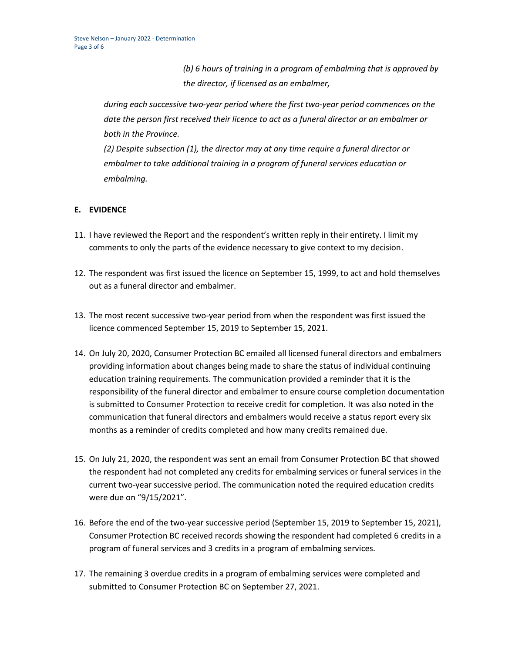*(b) 6 hours of training in a program of embalming that is approved by the director, if licensed as an embalmer,*

*during each successive two-year period where the first two-year period commences on the date the person first received their licence to act as a funeral director or an embalmer or both in the Province.*

*(2) Despite subsection (1), the director may at any time require a funeral director or embalmer to take additional training in a program of funeral services education or embalming.*

# **E. EVIDENCE**

- 11. I have reviewed the Report and the respondent's written reply in their entirety. I limit my comments to only the parts of the evidence necessary to give context to my decision.
- 12. The respondent was first issued the licence on September 15, 1999, to act and hold themselves out as a funeral director and embalmer.
- 13. The most recent successive two-year period from when the respondent was first issued the licence commenced September 15, 2019 to September 15, 2021.
- 14. On July 20, 2020, Consumer Protection BC emailed all licensed funeral directors and embalmers providing information about changes being made to share the status of individual continuing education training requirements. The communication provided a reminder that it is the responsibility of the funeral director and embalmer to ensure course completion documentation is submitted to Consumer Protection to receive credit for completion. It was also noted in the communication that funeral directors and embalmers would receive a status report every six months as a reminder of credits completed and how many credits remained due.
- 15. On July 21, 2020, the respondent was sent an email from Consumer Protection BC that showed the respondent had not completed any credits for embalming services or funeral services in the current two-year successive period. The communication noted the required education credits were due on "9/15/2021".
- 16. Before the end of the two-year successive period (September 15, 2019 to September 15, 2021), Consumer Protection BC received records showing the respondent had completed 6 credits in a program of funeral services and 3 credits in a program of embalming services.
- 17. The remaining 3 overdue credits in a program of embalming services were completed and submitted to Consumer Protection BC on September 27, 2021.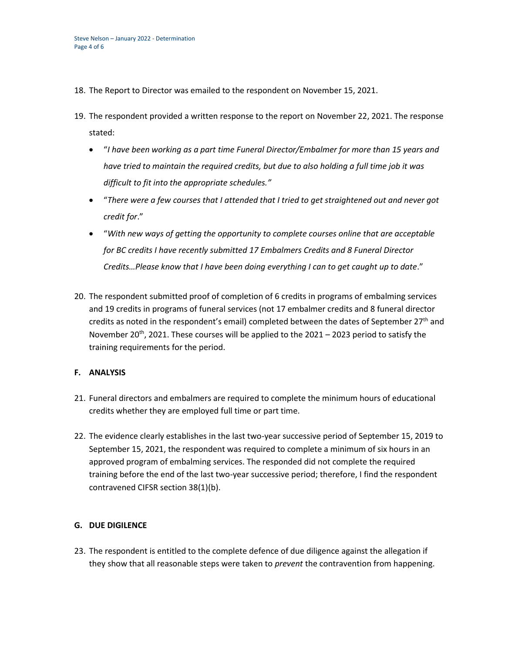- 18. The Report to Director was emailed to the respondent on November 15, 2021.
- 19. The respondent provided a written response to the report on November 22, 2021. The response stated:
	- "*I have been working as a part time Funeral Director/Embalmer for more than 15 years and have tried to maintain the required credits, but due to also holding a full time job it was difficult to fit into the appropriate schedules."*
	- "*There were a few courses that I attended that I tried to get straightened out and never got credit for*."
	- "*With new ways of getting the opportunity to complete courses online that are acceptable for BC credits I have recently submitted 17 Embalmers Credits and 8 Funeral Director Credits…Please know that I have been doing everything I can to get caught up to date*."
- 20. The respondent submitted proof of completion of 6 credits in programs of embalming services and 19 credits in programs of funeral services (not 17 embalmer credits and 8 funeral director credits as noted in the respondent's email) completed between the dates of September  $27<sup>th</sup>$  and November 20<sup>th</sup>, 2021. These courses will be applied to the 2021 – 2023 period to satisfy the training requirements for the period.

#### **F. ANALYSIS**

- 21. Funeral directors and embalmers are required to complete the minimum hours of educational credits whether they are employed full time or part time.
- 22. The evidence clearly establishes in the last two-year successive period of September 15, 2019 to September 15, 2021, the respondent was required to complete a minimum of six hours in an approved program of embalming services. The responded did not complete the required training before the end of the last two-year successive period; therefore, I find the respondent contravened CIFSR section 38(1)(b).

# **G. DUE DIGILENCE**

23. The respondent is entitled to the complete defence of due diligence against the allegation if they show that all reasonable steps were taken to *prevent* the contravention from happening.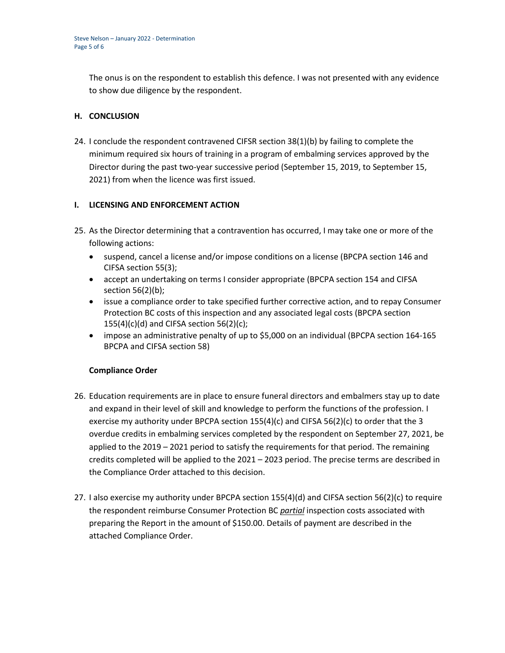The onus is on the respondent to establish this defence. I was not presented with any evidence to show due diligence by the respondent.

## **H. CONCLUSION**

24. I conclude the respondent contravened CIFSR section 38(1)(b) by failing to complete the minimum required six hours of training in a program of embalming services approved by the Director during the past two-year successive period (September 15, 2019, to September 15, 2021) from when the licence was first issued.

## **I. LICENSING AND ENFORCEMENT ACTION**

- 25. As the Director determining that a contravention has occurred, I may take one or more of the following actions:
	- suspend, cancel a license and/or impose conditions on a license (BPCPA section 146 and CIFSA section 55(3);
	- accept an undertaking on terms I consider appropriate (BPCPA section 154 and CIFSA section 56(2)(b);
	- issue a compliance order to take specified further corrective action, and to repay Consumer Protection BC costs of this inspection and any associated legal costs (BPCPA section  $155(4)(c)(d)$  and CIFSA section 56(2)(c);
	- impose an administrative penalty of up to \$5,000 on an individual (BPCPA section 164-165 BPCPA and CIFSA section 58)

#### **Compliance Order**

- 26. Education requirements are in place to ensure funeral directors and embalmers stay up to date and expand in their level of skill and knowledge to perform the functions of the profession. I exercise my authority under BPCPA section 155(4)(c) and CIFSA 56(2)(c) to order that the 3 overdue credits in embalming services completed by the respondent on September 27, 2021, be applied to the 2019 – 2021 period to satisfy the requirements for that period. The remaining credits completed will be applied to the 2021 – 2023 period. The precise terms are described in the Compliance Order attached to this decision.
- 27. I also exercise my authority under BPCPA section 155(4)(d) and CIFSA section 56(2)(c) to require the respondent reimburse Consumer Protection BC *partial* inspection costs associated with preparing the Report in the amount of \$150.00. Details of payment are described in the attached Compliance Order.